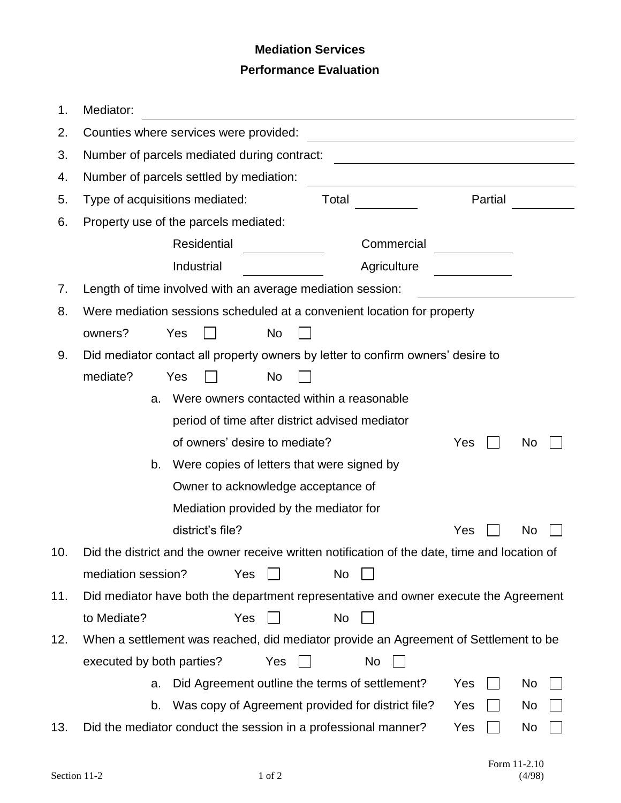## **Mediation Services Performance Evaluation**

| 1.                                                                                          | Mediator:                                                                                     |  |  |  |  |  |
|---------------------------------------------------------------------------------------------|-----------------------------------------------------------------------------------------------|--|--|--|--|--|
| 2.                                                                                          | Counties where services were provided:                                                        |  |  |  |  |  |
| 3.                                                                                          | Number of parcels mediated during contract:                                                   |  |  |  |  |  |
| 4.                                                                                          | Number of parcels settled by mediation:                                                       |  |  |  |  |  |
| 5.                                                                                          | Type of acquisitions mediated:<br>Total<br>Partial                                            |  |  |  |  |  |
| Property use of the parcels mediated:<br>6.                                                 |                                                                                               |  |  |  |  |  |
|                                                                                             | Residential<br>Commercial                                                                     |  |  |  |  |  |
|                                                                                             | Industrial<br>Agriculture                                                                     |  |  |  |  |  |
| 7.                                                                                          | Length of time involved with an average mediation session:                                    |  |  |  |  |  |
| 8.                                                                                          | Were mediation sessions scheduled at a convenient location for property                       |  |  |  |  |  |
|                                                                                             | owners?<br>Yes<br>No                                                                          |  |  |  |  |  |
| 9.                                                                                          | Did mediator contact all property owners by letter to confirm owners' desire to               |  |  |  |  |  |
|                                                                                             | mediate?<br>No<br>Yes                                                                         |  |  |  |  |  |
|                                                                                             | Were owners contacted within a reasonable<br>a.                                               |  |  |  |  |  |
|                                                                                             | period of time after district advised mediator                                                |  |  |  |  |  |
| of owners' desire to mediate?<br>Yes<br>No                                                  |                                                                                               |  |  |  |  |  |
|                                                                                             | Were copies of letters that were signed by<br>b.                                              |  |  |  |  |  |
|                                                                                             | Owner to acknowledge acceptance of                                                            |  |  |  |  |  |
|                                                                                             | Mediation provided by the mediator for                                                        |  |  |  |  |  |
|                                                                                             | district's file?<br>Yes<br>No                                                                 |  |  |  |  |  |
| 10.                                                                                         | Did the district and the owner receive written notification of the date, time and location of |  |  |  |  |  |
|                                                                                             | mediation session?<br>Yes<br>No                                                               |  |  |  |  |  |
| Did mediator have both the department representative and owner execute the Agreement<br>11. |                                                                                               |  |  |  |  |  |
|                                                                                             | to Mediate?<br>Yes<br>No                                                                      |  |  |  |  |  |
| 12.                                                                                         | When a settlement was reached, did mediator provide an Agreement of Settlement to be          |  |  |  |  |  |
|                                                                                             | executed by both parties?<br>Yes<br>No                                                        |  |  |  |  |  |
|                                                                                             | Did Agreement outline the terms of settlement?<br>Yes<br>No<br>a.                             |  |  |  |  |  |
|                                                                                             | Was copy of Agreement provided for district file?<br>Yes<br>b.<br>No.                         |  |  |  |  |  |
| 13.                                                                                         | Did the mediator conduct the session in a professional manner?<br>Yes<br>No                   |  |  |  |  |  |